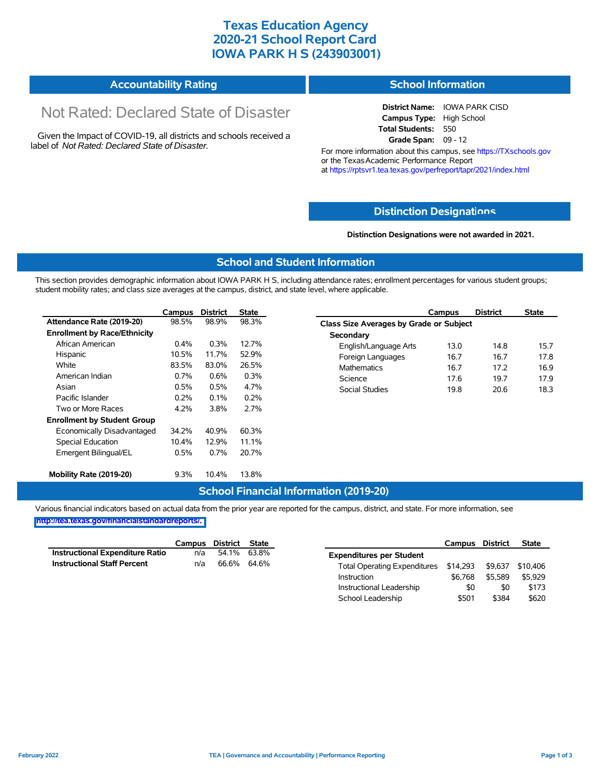### **Texas Education Agency 2020-21 School Report Card IOWA PARK H S (243903001)**

| <b>Accountability Rating</b> | <b>School Information</b> |
|------------------------------|---------------------------|
|------------------------------|---------------------------|

# Not Rated: Declared State of Disaster

Given the Impact of COVID-19, all districts and schools received a label of *Not Rated: Declared State of Disaster.*

**District Name:** IOWA PARK CISD **Campus Type:** High School **Total Students:** 550 **Grade Span:** 09 - 12

For more information about this campus, see https://TXschools.gov or the Texas Academic Performance Report at https://rptsvr1.tea.texas.gov/perfreport/tapr/2021/index.html

#### **Distinction Designat[ions](https://TXschools.gov)**

**Distinction Designations were not awarded in 2021.**

School Leadership  $$501$  \$384 \$620

#### **School and Student Information**

This section provides demographic information about IOWA PARK H S, including attendance rates; enrollment percentages for various student groups; student mobility rates; and class size averages at the campus, district, and state level, where applicable.

|                                     | Campus | <b>District</b> | <b>State</b> | <b>District</b><br><b>State</b><br>Campus     |
|-------------------------------------|--------|-----------------|--------------|-----------------------------------------------|
| Attendance Rate (2019-20)           | 98.5%  | 98.9%           | 98.3%        | Class Size Averages by Grade or Subject       |
| <b>Enrollment by Race/Ethnicity</b> |        |                 |              | Secondary                                     |
| African American                    | 0.4%   | 0.3%            | 12.7%        | English/Language Arts<br>14.8<br>15.7<br>13.0 |
| Hispanic                            | 10.5%  | 11.7%           | 52.9%        | 16.7<br>Foreign Languages<br>16.7<br>17.8     |
| White                               | 83.5%  | 83.0%           | 26.5%        | <b>Mathematics</b><br>16.7<br>17.2<br>16.9    |
| American Indian                     | 0.7%   | 0.6%            | 0.3%         | Science<br>17.6<br>19.7<br>17.9               |
| Asian                               | 0.5%   | 0.5%            | 4.7%         | <b>Social Studies</b><br>19.8<br>20.6<br>18.3 |
| Pacific Islander                    | 0.2%   | 0.1%            | 0.2%         |                                               |
| Two or More Races                   | 4.2%   | 3.8%            | 2.7%         |                                               |
| <b>Enrollment by Student Group</b>  |        |                 |              |                                               |
| Economically Disadvantaged          | 34.2%  | 40.9%           | 60.3%        |                                               |
| Special Education                   | 10.4%  | 12.9%           | 11.1%        |                                               |
| Emergent Bilingual/EL               | 0.5%   | 0.7%            | 20.7%        |                                               |
| Mobility Rate (2019-20)             | 9.3%   | 10.4%           | 13.8%        |                                               |

#### **School Financial Information (2019-20)**

Various financial indicators based on actual data from the prior year are reported for the campus, district, and state. For more information, see

**[http://tea.texas.gov/financialstandardreports/.](http://tea.texas.gov/financialstandardreports/)**

|                                        | Campus | District State |             |                                       | Campus  | <b>District</b> | <b>State</b> |
|----------------------------------------|--------|----------------|-------------|---------------------------------------|---------|-----------------|--------------|
| <b>Instructional Expenditure Ratio</b> | n/a    |                | 54.1% 63.8% | <b>Expenditures per Student</b>       |         |                 |              |
| <b>Instructional Staff Percent</b>     | n/a    | 66.6% 64.6%    |             | Total Operating Expenditures \$14,293 |         | \$9,637         | \$10.406     |
|                                        |        |                |             | Instruction                           | \$6.768 | \$5.589         | \$5.929      |
|                                        |        |                |             | Instructional Leadership              | \$0     | \$0             | \$173        |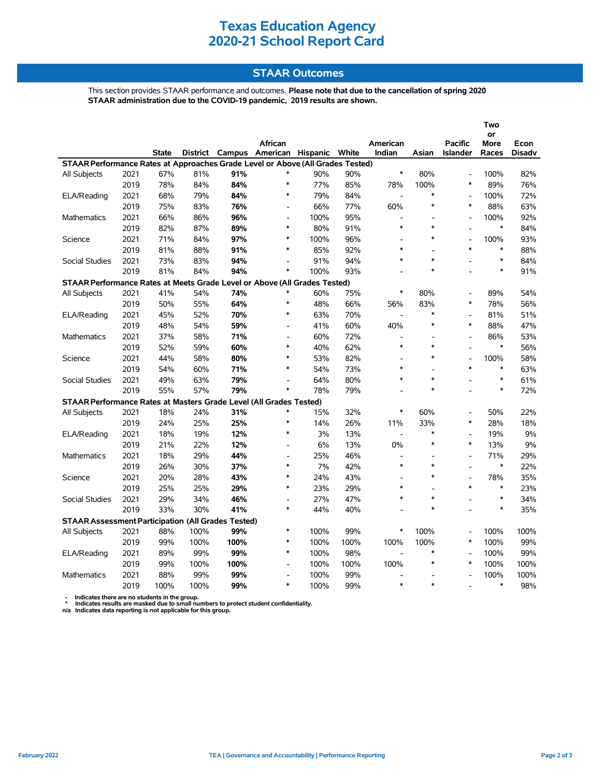## **Texas Education Agency 2020-21 School Report Card**

### **STAAR Outcomes**

This section provides STAAR performance and outcomes. **Please note that due to the cancellation of spring 2020 STAAR administration due to the COVID-19 pandemic, 2019 results are shown.**

|                                                                                                                           |      |              |      |      |                              |      |      |                          |                          |                          | Two               |               |
|---------------------------------------------------------------------------------------------------------------------------|------|--------------|------|------|------------------------------|------|------|--------------------------|--------------------------|--------------------------|-------------------|---------------|
|                                                                                                                           |      |              |      |      | African                      |      |      | American                 |                          | <b>Pacific</b>           | or<br><b>More</b> | Econ          |
|                                                                                                                           |      | <b>State</b> |      |      |                              |      |      | Indian                   | Asian                    | <b>Islander</b>          | Races             | <b>Disadv</b> |
| District Campus American Hispanic White<br>STAAR Performance Rates at Approaches Grade Level or Above (All Grades Tested) |      |              |      |      |                              |      |      |                          |                          |                          |                   |               |
| All Subjects                                                                                                              | 2021 | 67%          | 81%  | 91%  | $\ast$                       | 90%  | 90%  | $\ast$                   | 80%                      | $\overline{a}$           | 100%              | 82%           |
|                                                                                                                           | 2019 | 78%          | 84%  | 84%  | $\ast$                       | 77%  | 85%  | 78%                      | 100%                     | $\ast$                   | 89%               | 76%           |
| ELA/Reading                                                                                                               | 2021 | 68%          | 79%  | 84%  | $\ast$                       | 79%  | 84%  | $\overline{\phantom{a}}$ | $\ast$                   | $\overline{a}$           | 100%              | 72%           |
|                                                                                                                           | 2019 | 75%          | 83%  | 76%  | $\overline{a}$               | 66%  | 77%  | 60%                      | $\ast$                   | $\ast$                   | 88%               | 63%           |
| Mathematics                                                                                                               | 2021 | 66%          | 86%  | 96%  | ÷.                           | 100% | 95%  |                          |                          | $\blacksquare$           | 100%              | 92%           |
|                                                                                                                           | 2019 | 82%          | 87%  | 89%  | $\ast$                       | 80%  | 91%  | $\ast$                   | $\ast$                   | $\blacksquare$           | $\ast$            | 84%           |
| Science                                                                                                                   | 2021 | 71%          | 84%  | 97%  | $\ast$                       | 100% | 96%  |                          | $\ast$                   |                          | 100%              | 93%           |
|                                                                                                                           | 2019 | 81%          | 88%  | 91%  | $\ast$                       | 85%  | 92%  | $\ast$                   |                          | $\ast$                   | $\ast$            | 88%           |
| <b>Social Studies</b>                                                                                                     | 2021 | 73%          | 83%  | 94%  | $\overline{a}$               | 91%  | 94%  | $\ast$                   | $\ast$                   |                          | $\ast$            | 84%           |
|                                                                                                                           | 2019 | 81%          | 84%  | 94%  | ∗                            | 100% | 93%  |                          | $\ast$                   |                          | $\ast$            | 91%           |
| STAAR Performance Rates at Meets Grade Level or Above (All Grades Tested)                                                 |      |              |      |      |                              |      |      |                          |                          |                          |                   |               |
| <b>All Subjects</b>                                                                                                       | 2021 | 41%          | 54%  | 74%  | $\ast$                       | 60%  | 75%  | $\ast$                   | 80%                      | $\overline{a}$           | 89%               | 54%           |
|                                                                                                                           | 2019 | 50%          | 55%  | 64%  | $\ast$                       | 48%  | 66%  | 56%                      | 83%                      | $\ast$                   | 78%               | 56%           |
| ELA/Reading                                                                                                               | 2021 | 45%          | 52%  | 70%  | $\ast$                       | 63%  | 70%  | $\overline{a}$           | $\ast$                   | $\overline{a}$           | 81%               | 51%           |
|                                                                                                                           | 2019 | 48%          | 54%  | 59%  | $\overline{a}$               | 41%  | 60%  | 40%                      | $\ast$                   | $\ast$                   | 88%               | 47%           |
| Mathematics                                                                                                               | 2021 | 37%          | 58%  | 71%  | $\overline{a}$               | 60%  | 72%  | $\overline{a}$           | $\overline{\phantom{a}}$ | $\overline{a}$           | 86%               | 53%           |
|                                                                                                                           | 2019 | 52%          | 59%  | 60%  | $\ast$                       | 40%  | 62%  | $\ast$                   | $\ast$                   | $\overline{\phantom{a}}$ | $\ast$            | 56%           |
| Science                                                                                                                   | 2021 | 44%          | 58%  | 80%  | $\ast$                       | 53%  | 82%  |                          | $\ast$                   | ۰                        | 100%              | 58%           |
|                                                                                                                           | 2019 | 54%          | 60%  | 71%  | $\ast$                       | 54%  | 73%  | $\ast$                   |                          | $\ast$                   | $\ast$            | 63%           |
| <b>Social Studies</b>                                                                                                     | 2021 | 49%          | 63%  | 79%  | $\overline{a}$               | 64%  | 80%  | $\ast$                   | $\ast$                   | L,                       | $\ast$            | 61%           |
|                                                                                                                           | 2019 | 55%          | 57%  | 79%  | $\ast$                       | 78%  | 79%  |                          | $\ast$                   |                          | $\ast$            | 72%           |
| STAAR Performance Rates at Masters Grade Level (All Grades Tested)                                                        |      |              |      |      |                              |      |      |                          |                          |                          |                   |               |
| <b>All Subjects</b>                                                                                                       | 2021 | 18%          | 24%  | 31%  | $\ast$                       | 15%  | 32%  | *                        | 60%                      | $\blacksquare$           | 50%               | 22%           |
|                                                                                                                           | 2019 | 24%          | 25%  | 25%  | $\ast$                       | 14%  | 26%  | 11%                      | 33%                      | $\ast$                   | 28%               | 18%           |
| ELA/Reading                                                                                                               | 2021 | 18%          | 19%  | 12%  | $\ast$                       | 3%   | 13%  | $\overline{a}$           | $\ast$                   | $\blacksquare$           | 19%               | 9%            |
|                                                                                                                           | 2019 | 21%          | 22%  | 12%  | $\overline{a}$               | 6%   | 13%  | 0%                       | $\ast$                   | $\ast$                   | 13%               | 9%            |
| <b>Mathematics</b>                                                                                                        | 2021 | 18%          | 29%  | 44%  | $\qquad \qquad \blacksquare$ | 25%  | 46%  | $\overline{a}$           |                          | $\overline{a}$           | 71%               | 29%           |
|                                                                                                                           | 2019 | 26%          | 30%  | 37%  | $\ast$                       | 7%   | 42%  | $\ast$                   | $\ast$                   | $\overline{a}$           | $\ast$            | 22%           |
| Science                                                                                                                   | 2021 | 20%          | 28%  | 43%  | $\ast$                       | 24%  | 43%  |                          | $\ast$                   | L,                       | 78%               | 35%           |
|                                                                                                                           | 2019 | 25%          | 25%  | 29%  | $\ast$                       | 23%  | 29%  | *                        | $\overline{\phantom{a}}$ | $\ast$                   | $\ast$            | 23%           |
| Social Studies                                                                                                            | 2021 | 29%          | 34%  | 46%  | $\overline{a}$               | 27%  | 47%  | $\ast$                   | $\ast$                   |                          | $\ast$            | 34%           |
|                                                                                                                           | 2019 | 33%          | 30%  | 41%  | $\ast$                       | 44%  | 40%  |                          | $\ast$                   | $\overline{a}$           | $\ast$            | 35%           |
| <b>STAAR Assessment Participation (All Grades Tested)</b>                                                                 |      |              |      |      |                              |      |      |                          |                          |                          |                   |               |
| All Subjects                                                                                                              | 2021 | 88%          | 100% | 99%  | $\ast$                       | 100% | 99%  | $\ast$                   | 100%                     |                          | 100%              | 100%          |
|                                                                                                                           | 2019 | 99%          | 100% | 100% | $\ast$                       | 100% | 100% | 100%                     | 100%                     | $\ast$                   | 100%              | 99%           |
| ELA/Reading                                                                                                               | 2021 | 89%          | 99%  | 99%  | $\ast$                       | 100% | 98%  |                          | $\ast$                   |                          | 100%              | 99%           |
|                                                                                                                           | 2019 | 99%          | 100% | 100% | $\overline{a}$               | 100% | 100% | 100%                     | $\ast$                   | $\ast$                   | 100%              | 100%          |
| <b>Mathematics</b>                                                                                                        | 2021 | 88%          | 99%  | 99%  | $\overline{a}$               | 100% | 99%  |                          |                          |                          | 100%              | 100%          |
|                                                                                                                           | 2019 | 100%         | 100% | 99%  | $\ast$                       | 100% | 99%  | $\ast$                   | $\ast$                   |                          | $\ast$            | 98%           |

 **- Indicates there are no students in the group. \* Indicates results are masked due to small numbers to protect student confidentiality.**

**n/a Indicates data reporting is not applicable for this group.**